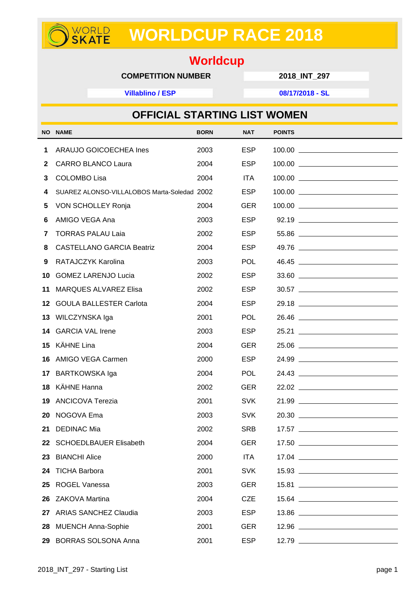## **WORLDCUP RACE 2018**

## **Worldcup**

## **COMPETITION NUMBER 2018\_INT\_297**

**Villablino / ESP 08/17/2018 - SL**

WORLD<br>**SKATE** 

|     | <b>OFFICIAL STARTING LIST WOMEN</b>         |             |            |                          |
|-----|---------------------------------------------|-------------|------------|--------------------------|
| NO. | <b>NAME</b>                                 | <b>BORN</b> | <b>NAT</b> | <b>POINTS</b>            |
| 1   | ARAUJO GOICOECHEA Ines                      | 2003        | <b>ESP</b> | $100.00$ $\qquad \qquad$ |
| 2   | <b>CARRO BLANCO Laura</b>                   | 2004        | <b>ESP</b> |                          |
| 3   | <b>COLOMBO Lisa</b>                         | 2004        | <b>ITA</b> |                          |
| 4   | SUAREZ ALONSO-VILLALOBOS Marta-Soledad 2002 |             | <b>ESP</b> |                          |
| 5   | <b>VON SCHOLLEY Ronja</b>                   | 2004        | <b>GER</b> |                          |
| 6   | AMIGO VEGA Ana                              | 2003        | <b>ESP</b> | 92.19                    |
| 7   | <b>TORRAS PALAU Laia</b>                    | 2002        | <b>ESP</b> |                          |
| 8   | <b>CASTELLANO GARCIA Beatriz</b>            | 2004        | <b>ESP</b> | 49.76                    |
| 9   | RATAJCZYK Karolina                          | 2003        | <b>POL</b> | 46.45                    |
| 10  | <b>GOMEZ LARENJO Lucia</b>                  | 2002        | <b>ESP</b> | 33.60                    |
| 11  | <b>MARQUES ALVAREZ Elisa</b>                | 2002        | <b>ESP</b> |                          |
| 12  | <b>GOULA BALLESTER Carlota</b>              | 2004        | <b>ESP</b> |                          |
| 13. | WILCZYNSKA Iga                              | 2001        | <b>POL</b> | 26.46                    |
|     | 14 GARCIA VAL Irene                         | 2003        | <b>ESP</b> |                          |
| 15  | KÄHNE Lina                                  | 2004        | <b>GER</b> |                          |
| 16  | AMIGO VEGA Carmen                           | 2000        | <b>ESP</b> | 24.99                    |
|     | 17 BARTKOWSKA Iga                           | 2004        | <b>POL</b> | 24.43                    |
| 18  | KÄHNE Hanna                                 | 2002        | <b>GER</b> | 22.02                    |
| 19  | <b>ANCICOVA Terezia</b>                     | 2001        | <b>SVK</b> | 21.99                    |
| 20  | NOGOVA Ema                                  | 2003        | <b>SVK</b> |                          |
| 21  | <b>DEDINAC Mia</b>                          | 2002        | <b>SRB</b> |                          |
| 22  | <b>SCHOEDLBAUER Elisabeth</b>               | 2004        | <b>GER</b> |                          |
| 23. | <b>BIANCHI Alice</b>                        | 2000        | <b>ITA</b> |                          |
| 24  | <b>TICHA Barbora</b>                        | 2001        | <b>SVK</b> | 15.93                    |
| 25  | <b>ROGEL Vanessa</b>                        | 2003        | <b>GER</b> |                          |
| 26  | ZAKOVA Martina                              | 2004        | <b>CZE</b> |                          |
| 27  | <b>ARIAS SANCHEZ Claudia</b>                | 2003        | <b>ESP</b> |                          |
| 28  | <b>MUENCH Anna-Sophie</b>                   | 2001        | <b>GER</b> | 12.96                    |
| 29  | <b>BORRAS SOLSONA Anna</b>                  | 2001        | <b>ESP</b> |                          |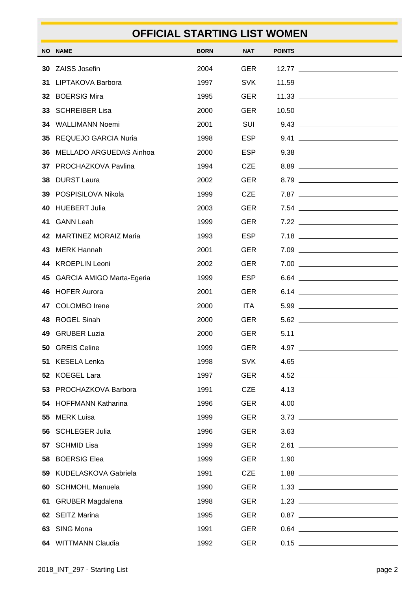|    | <b>OFFICIAL STARTING LIST WOMEN</b> |             |            |               |                                         |
|----|-------------------------------------|-------------|------------|---------------|-----------------------------------------|
|    | NO NAME                             | <b>BORN</b> | <b>NAT</b> | <b>POINTS</b> |                                         |
| 30 | ZAISS Josefin                       | 2004        | <b>GER</b> |               |                                         |
| 31 | LIPTAKOVA Barbora                   | 1997        | <b>SVK</b> |               |                                         |
|    | 32 BOERSIG Mira                     | 1995        | <b>GER</b> |               |                                         |
|    | 33 SCHREIBER Lisa                   | 2000        | <b>GER</b> |               |                                         |
|    | 34 WALLIMANN Noemi                  | 2001        | SUI        |               |                                         |
|    | 35 REQUEJO GARCIA Nuria             | 1998        | <b>ESP</b> |               | $9.41$                                  |
|    | 36 MELLADO ARGUEDAS Ainhoa          | 2000        | <b>ESP</b> |               | $9.38$                                  |
|    | 37 PROCHAZKOVA Pavlina              | 1994        | <b>CZE</b> |               | $8.89$                                  |
|    | 38 DURST Laura                      | 2002        | <b>GER</b> |               | $8.79$                                  |
|    | 39 POSPISILOVA Nikola               | 1999        | <b>CZE</b> |               | 7.87                                    |
|    | 40 HUEBERT Julia                    | 2003        | <b>GER</b> |               |                                         |
| 41 | <b>GANN Leah</b>                    | 1999        | <b>GER</b> |               | $7.22$                                  |
|    | 42 MARTINEZ MORAIZ Maria            | 1993        | <b>ESP</b> |               | $7.18$                                  |
|    | 43 MERK Hannah                      | 2001        | <b>GER</b> |               | $7.09$                                  |
|    | 44 KROEPLIN Leoni                   | 2002        | <b>GER</b> |               | $7.00$                                  |
|    | 45 GARCIA AMIGO Marta-Egeria        | 1999        | <b>ESP</b> |               | $6.64$                                  |
|    | 46 HOFER Aurora                     | 2001        | <b>GER</b> |               |                                         |
| 47 | <b>COLOMBO</b> Irene                | 2000        | <b>ITA</b> |               |                                         |
| 48 | <b>ROGEL Sinah</b>                  | 2000        | <b>GER</b> |               | $5.62$ $\qquad$                         |
|    | 49 GRUBER Luzia                     | 2000        | GER        | 5.11          |                                         |
| 50 | <b>GREIS Celine</b>                 | 1999        | <b>GER</b> |               | $4.97$                                  |
| 51 | <b>KESELA Lenka</b>                 | 1998        | <b>SVK</b> |               |                                         |
|    | 52 KOEGEL Lara                      | 1997        | <b>GER</b> |               |                                         |
|    | 53 PROCHAZKOVA Barbora              | 1991        | <b>CZE</b> |               |                                         |
|    | 54 HOFFMANN Katharina               | 1996        | <b>GER</b> |               | $\begin{tabular}{c} 4.00 \end{tabular}$ |
|    | 55 MERK Luisa                       | 1999        | <b>GER</b> |               |                                         |
|    | 56 SCHLEGER Julia                   | 1996        | <b>GER</b> |               | $3.63$                                  |
|    | 57 SCHMID Lisa                      | 1999        | <b>GER</b> |               | 2.61                                    |
|    | 58 BOERSIG Elea                     | 1999        | <b>GER</b> |               |                                         |
|    | 59 KUDELASKOVA Gabriela             | 1991        | <b>CZE</b> |               |                                         |
| 60 | <b>SCHMOHL Manuela</b>              | 1990        | <b>GER</b> |               |                                         |
| 61 | <b>GRUBER Magdalena</b>             | 1998        | <b>GER</b> |               |                                         |
|    | 62 SEITZ Marina                     | 1995        | <b>GER</b> |               |                                         |
|    | 63 SING Mona                        | 1991        | <b>GER</b> |               |                                         |
|    | 64 WITTMANN Claudia                 | 1992        | <b>GER</b> |               |                                         |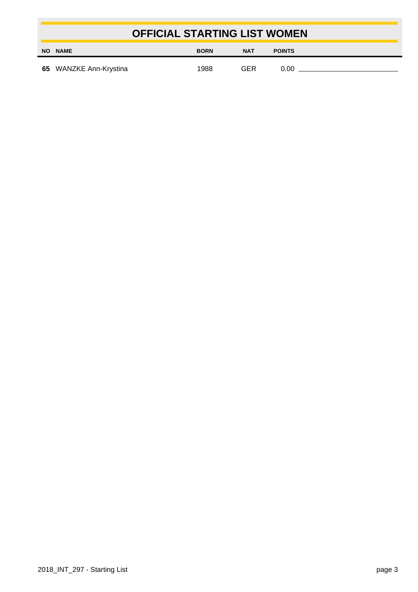|    |                        | <b>OFFICIAL STARTING LIST WOMEN</b> |     |               |  |
|----|------------------------|-------------------------------------|-----|---------------|--|
| ΝO | <b>NAME</b>            | <b>BORN</b>                         | NAT | <b>POINTS</b> |  |
|    | 65 WANZKE Ann-Krystina | 1988                                | GFR | በ በበ          |  |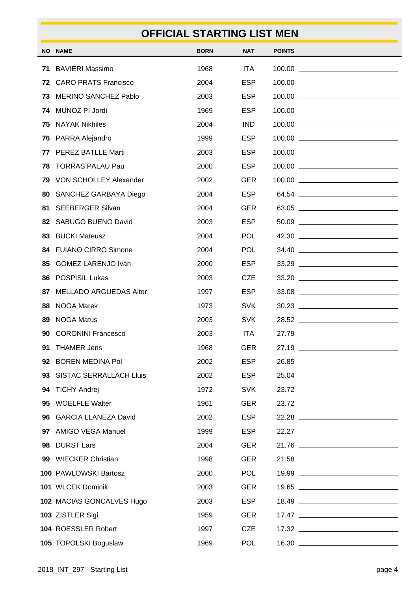|    |                               | <b>OFFICIAL STARTING LIST MEN</b> |            |               |       |
|----|-------------------------------|-----------------------------------|------------|---------------|-------|
|    | <b>NO NAME</b>                | <b>BORN</b>                       | NAT        | <b>POINTS</b> |       |
| 71 | <b>BAVIERI Massimo</b>        | 1968                              | <b>ITA</b> |               |       |
|    | 72 CARO PRATS Francisco       | 2004                              | <b>ESP</b> |               |       |
| 73 | <b>MERINO SANCHEZ Pablo</b>   | 2003                              | <b>ESP</b> |               |       |
|    | 74 MUNOZ PI Jordi             | 1969                              | <b>ESP</b> |               |       |
| 75 | <b>NAYAK Nikhiles</b>         | 2004                              | <b>IND</b> |               |       |
| 76 | PARRA Alejandro               | 1999                              | <b>ESP</b> |               |       |
|    | 77 PEREZ BATLLE Marti         | 2003                              | <b>ESP</b> |               |       |
| 78 | <b>TORRAS PALAU Pau</b>       | 2000                              | <b>ESP</b> |               |       |
| 79 | <b>VON SCHOLLEY Alexander</b> | 2002                              | <b>GER</b> |               |       |
| 80 | SANCHEZ GARBAYA Diego         | 2004                              | <b>ESP</b> |               | 64.54 |
| 81 | <b>SEEBERGER Silvan</b>       | 2004                              | <b>GER</b> |               | 63.05 |
|    | 82 SABUGO BUENO David         | 2003                              | <b>ESP</b> |               | 50.09 |
|    | 83 BUCKI Mateusz              | 2004                              | <b>POL</b> |               |       |
|    | 84 FUIANO CIRRO Simone        | 2004                              | <b>POL</b> |               | 34.40 |
| 85 | <b>GOMEZ LARENJO Ivan</b>     | 2000                              | <b>ESP</b> |               |       |
|    | 86 POSPISIL Lukas             | 2003                              | <b>CZE</b> |               |       |
| 87 | <b>MELLADO ARGUEDAS Aitor</b> | 1997                              | <b>ESP</b> |               |       |
| 88 | <b>NOGA Marek</b>             | 1973                              | <b>SVK</b> |               |       |
| 89 | <b>NOGA Matus</b>             | 2003                              | <b>SVK</b> |               |       |
|    | <b>90 CORONINI Francesco</b>  | 2003                              | ITA.       | 27.79         |       |
| 91 | <b>THAMER Jens</b>            | 1968                              | <b>GER</b> |               | 27.19 |
|    | 92 BOREN MEDINA Pol           | 2002                              | <b>ESP</b> |               | 26.85 |
|    | 93 SISTAC SERRALLACH Lluis    | 2002                              | <b>ESP</b> |               |       |
|    | 94 TICHY Andrej               | 1972                              | <b>SVK</b> |               | 23.72 |
|    | 95 WOELFLE Walter             | 1961                              | <b>GER</b> |               |       |
|    | 96 GARCIA LLANEZA David       | 2002                              | <b>ESP</b> |               | 22.28 |
|    | 97 AMIGO VEGA Manuel          | 1999                              | <b>ESP</b> |               |       |
|    | 98 DURST Lars                 | 2004                              | <b>GER</b> |               | 21.76 |
|    | 99 WIECKER Christian          | 1998                              | <b>GER</b> |               | 21.58 |
|    | 100 PAWLOWSKI Bartosz         | 2000                              | <b>POL</b> |               |       |
|    | 101 WLCEK Dominik             | 2003                              | <b>GER</b> |               |       |
|    | 102 MACIAS GONCALVES Hugo     | 2003                              | <b>ESP</b> |               | 18.49 |
|    | 103 ZISTLER Sigi              | 1959                              | <b>GER</b> |               |       |
|    | 104 ROESSLER Robert           | 1997                              | <b>CZE</b> |               |       |
|    | 105 TOPOLSKI Boguslaw         | 1969                              | <b>POL</b> |               |       |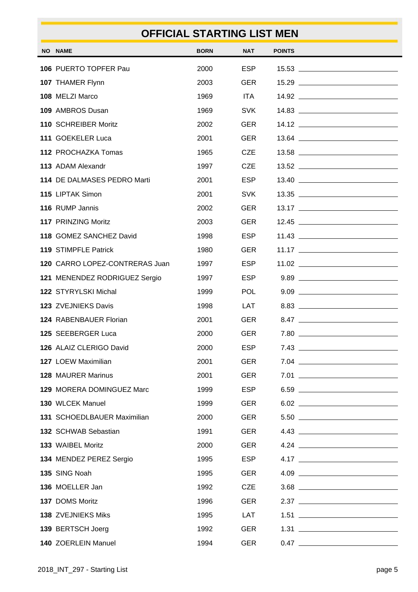|                                    | <b>OFFICIAL STARTING LIST MEN</b> |            |               |        |
|------------------------------------|-----------------------------------|------------|---------------|--------|
| <b>NO NAME</b>                     | <b>BORN</b>                       | <b>NAT</b> | <b>POINTS</b> |        |
| 106 PUERTO TOPFER Pau              | 2000                              | <b>ESP</b> |               |        |
| 107 THAMER Flynn                   | 2003                              | <b>GER</b> |               |        |
| 108 MELZI Marco                    | 1969                              | <b>ITA</b> |               |        |
| 109 AMBROS Dusan                   | 1969                              | <b>SVK</b> |               |        |
| 110 SCHREIBER Moritz               | 2002                              | <b>GER</b> |               |        |
| 111 GOEKELER Luca                  | 2001                              | <b>GER</b> |               |        |
| 112 PROCHAZKA Tomas                | 1965                              | <b>CZE</b> |               |        |
| 113 ADAM Alexandr                  | 1997                              | <b>CZE</b> |               |        |
| 114 DE DALMASES PEDRO Marti        | 2001                              | <b>ESP</b> |               |        |
| 115 LIPTAK Simon                   | 2001                              | <b>SVK</b> |               |        |
| 116 RUMP Jannis                    | 2002                              | <b>GER</b> |               |        |
| 117 PRINZING Moritz                | 2003                              | <b>GER</b> |               |        |
| 118 GOMEZ SANCHEZ David            | 1998                              | <b>ESP</b> |               |        |
| 119 STIMPFLE Patrick               | 1980                              | <b>GER</b> |               |        |
| 120 CARRO LOPEZ-CONTRERAS Juan     | 1997                              | <b>ESP</b> |               |        |
| 121 MENENDEZ RODRIGUEZ Sergio      | 1997                              | <b>ESP</b> |               |        |
| <b>122 STYRYLSKI Michal</b>        | 1999                              | <b>POL</b> |               |        |
| 123 ZVEJNIEKS Davis                | 1998                              | LAT        |               |        |
| 124 RABENBAUER Florian             | 2001                              | <b>GER</b> |               | 8.47   |
| <b>125 SEEBERGER Luca</b>          | 2000                              | <b>GER</b> | 7.80          |        |
| 126 ALAIZ CLERIGO David            | 2000                              | <b>ESP</b> |               | $7.43$ |
| 127 LOEW Maximilian                | 2001                              | <b>GER</b> |               | $7.04$ |
| 128 MAURER Marinus                 | 2001                              | <b>GER</b> |               | $7.01$ |
| 129 MORERA DOMINGUEZ Marc          | 1999                              | <b>ESP</b> |               | $6.59$ |
| 130 WLCEK Manuel                   | 1999                              | <b>GER</b> |               | $6.02$ |
| <b>131 SCHOEDLBAUER Maximilian</b> | 2000                              | <b>GER</b> |               |        |
| 132 SCHWAB Sebastian               | 1991                              | <b>GER</b> |               |        |
| 133 WAIBEL Moritz                  | 2000                              | <b>GER</b> |               |        |
| 134 MENDEZ PEREZ Sergio            | 1995                              | <b>ESP</b> |               |        |
| 135 SING Noah                      | 1995                              | <b>GER</b> |               | $4.09$ |
| 136 MOELLER Jan                    | 1992                              | <b>CZE</b> |               | $3.68$ |
| 137 DOMS Moritz                    | 1996                              | <b>GER</b> |               |        |
| 138 ZVEJNIEKS Miks                 | 1995                              | <b>LAT</b> |               |        |
| 139 BERTSCH Joerg                  | 1992                              | <b>GER</b> |               |        |
| 140 ZOERLEIN Manuel                | 1994                              | <b>GER</b> |               |        |